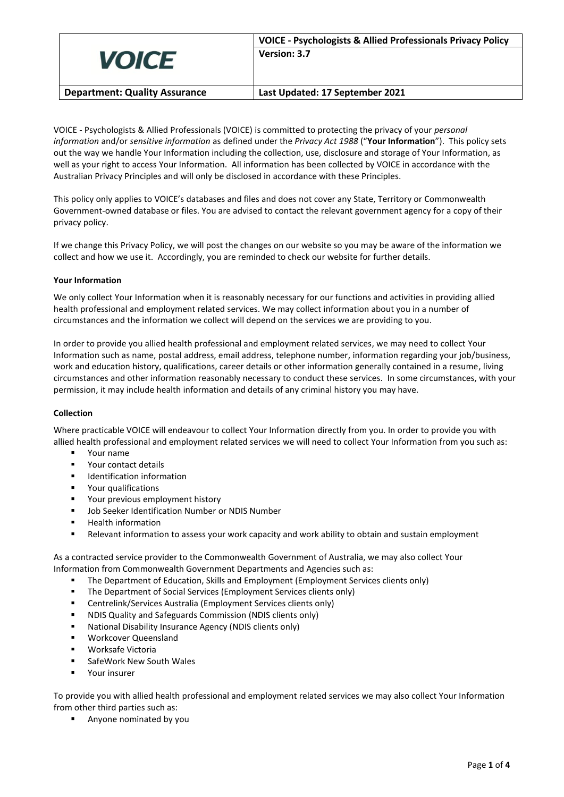| <b>VOICE</b>                         | <b>VOICE - Psychologists &amp; Allied Professionals Privacy Policy</b><br>Version: 3.7 |
|--------------------------------------|----------------------------------------------------------------------------------------|
| <b>Department: Quality Assurance</b> | Last Updated: 17 September 2021                                                        |

VOICE - Psychologists & Allied Professionals (VOICE) is committed to protecting the privacy of your *personal information* and/or *sensitive information* as defined under the *Privacy Act 1988* ("**Your Information**"). This policy sets out the way we handle Your Information including the collection, use, disclosure and storage of Your Information, as well as your right to access Your Information. All information has been collected by VOICE in accordance with the Australian Privacy Principles and will only be disclosed in accordance with these Principles.

This policy only applies to VOICE's databases and files and does not cover any State, Territory or Commonwealth Government-owned database or files. You are advised to contact the relevant government agency for a copy of their privacy policy.

If we change this Privacy Policy, we will post the changes on our website so you may be aware of the information we collect and how we use it. Accordingly, you are reminded to check our website for further details.

# **Your Information**

We only collect Your Information when it is reasonably necessary for our functions and activities in providing allied health professional and employment related services. We may collect information about you in a number of circumstances and the information we collect will depend on the services we are providing to you.

In order to provide you allied health professional and employment related services, we may need to collect Your Information such as name, postal address, email address, telephone number, information regarding your job/business, work and education history, qualifications, career details or other information generally contained in a resume, living circumstances and other information reasonably necessary to conduct these services. In some circumstances, with your permission, it may include health information and details of any criminal history you may have.

## **Collection**

Where practicable VOICE will endeavour to collect Your Information directly from you. In order to provide you with allied health professional and employment related services we will need to collect Your Information from you such as:

- Your name
- Your contact details
- Identification information
- Your qualifications
- Your previous employment history
- Job Seeker Identification Number or NDIS Number
- Health information
- Relevant information to assess your work capacity and work ability to obtain and sustain employment

As a contracted service provider to the Commonwealth Government of Australia, we may also collect Your Information from Commonwealth Government Departments and Agencies such as:

- The Department of Education, Skills and Employment (Employment Services clients only)
- The Department of Social Services (Employment Services clients only)
- Centrelink/Services Australia (Employment Services clients only)
- NDIS Quality and Safeguards Commission (NDIS clients only)
- National Disability Insurance Agency (NDIS clients only)
- Workcover Queensland
- Worksafe Victoria
- SafeWork New South Wales
- Your insurer

To provide you with allied health professional and employment related services we may also collect Your Information from other third parties such as:

Anyone nominated by you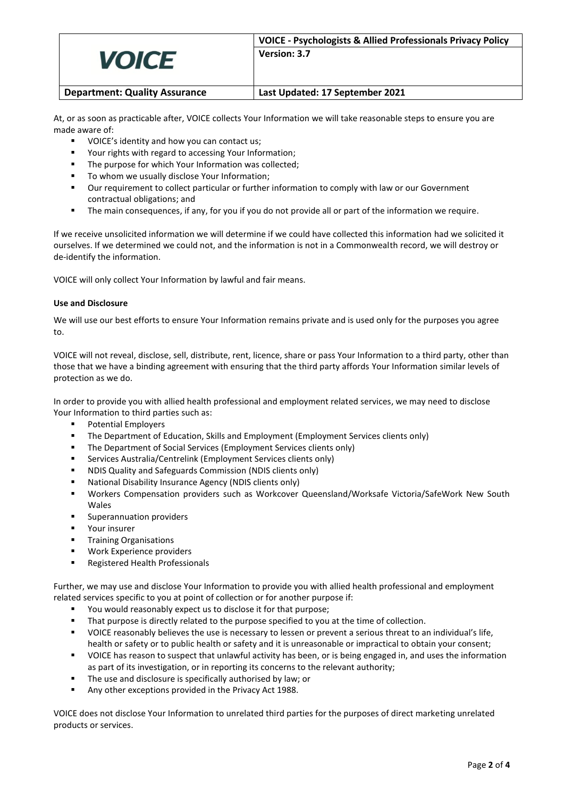|                                      | <b>VOICE - Psychologists &amp; Allied Professionals Privacy Policy</b> |
|--------------------------------------|------------------------------------------------------------------------|
| <b>VOICE</b>                         | Version: 3.7                                                           |
| <b>Department: Quality Assurance</b> | Last Updated: 17 September 2021                                        |

At, or as soon as practicable after, VOICE collects Your Information we will take reasonable steps to ensure you are made aware of:

- VOICE's identity and how you can contact us;
- Your rights with regard to accessing Your Information;
- The purpose for which Your Information was collected;
- To whom we usually disclose Your Information:
- Our requirement to collect particular or further information to comply with law or our Government contractual obligations; and
- The main consequences, if any, for you if you do not provide all or part of the information we require.

If we receive unsolicited information we will determine if we could have collected this information had we solicited it ourselves. If we determined we could not, and the information is not in a Commonwealth record, we will destroy or de-identify the information.

VOICE will only collect Your Information by lawful and fair means.

## **Use and Disclosure**

We will use our best efforts to ensure Your Information remains private and is used only for the purposes you agree to.

VOICE will not reveal, disclose, sell, distribute, rent, licence, share or pass Your Information to a third party, other than those that we have a binding agreement with ensuring that the third party affords Your Information similar levels of protection as we do.

In order to provide you with allied health professional and employment related services, we may need to disclose Your Information to third parties such as:

- Potential Employers
- **•** The Department of Education, Skills and Employment (Employment Services clients only)
- The Department of Social Services (Employment Services clients only)
- Services Australia/Centrelink (Employment Services clients only)
- NDIS Quality and Safeguards Commission (NDIS clients only)
- National Disability Insurance Agency (NDIS clients only)
- Workers Compensation providers such as Workcover Queensland/Worksafe Victoria/SafeWork New South Wales
- Superannuation providers
- Your insurer
- **■** Training Organisations
- Work Experience providers
- Registered Health Professionals

Further, we may use and disclose Your Information to provide you with allied health professional and employment related services specific to you at point of collection or for another purpose if:

- You would reasonably expect us to disclose it for that purpose;
- That purpose is directly related to the purpose specified to you at the time of collection.
- VOICE reasonably believes the use is necessary to lessen or prevent a serious threat to an individual's life, health or safety or to public health or safety and it is unreasonable or impractical to obtain your consent;
- VOICE has reason to suspect that unlawful activity has been, or is being engaged in, and uses the information as part of its investigation, or in reporting its concerns to the relevant authority;
- The use and disclosure is specifically authorised by law; or
- Any other exceptions provided in the Privacy Act 1988.

VOICE does not disclose Your Information to unrelated third parties for the purposes of direct marketing unrelated products or services.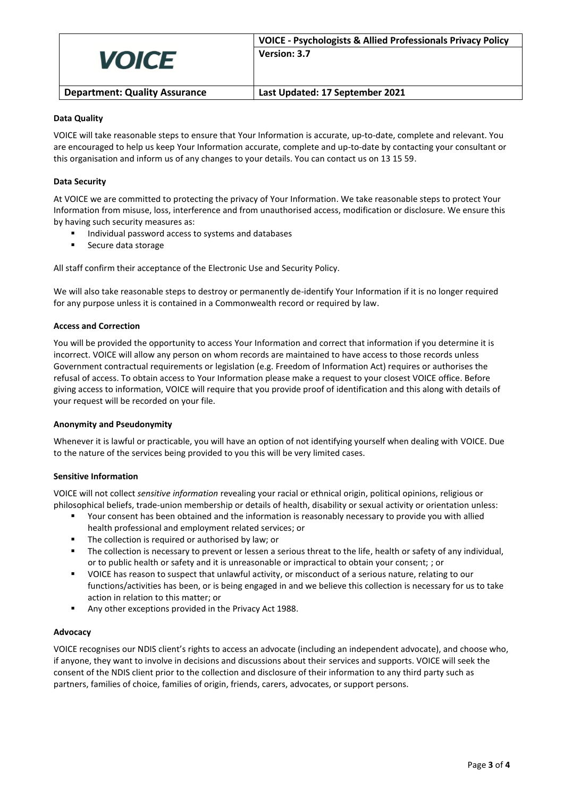

## **Data Quality**

VOICE will take reasonable steps to ensure that Your Information is accurate, up-to-date, complete and relevant. You are encouraged to help us keep Your Information accurate, complete and up-to-date by contacting your consultant or this organisation and inform us of any changes to your details. You can contact us on 13 15 59.

## **Data Security**

At VOICE we are committed to protecting the privacy of Your Information. We take reasonable steps to protect Your Information from misuse, loss, interference and from unauthorised access, modification or disclosure. We ensure this by having such security measures as:

- Individual password access to systems and databases
- Secure data storage

All staff confirm their acceptance of the Electronic Use and Security Policy.

We will also take reasonable steps to destroy or permanently de-identify Your Information if it is no longer required for any purpose unless it is contained in a Commonwealth record or required by law.

## **Access and Correction**

You will be provided the opportunity to access Your Information and correct that information if you determine it is incorrect. VOICE will allow any person on whom records are maintained to have access to those records unless Government contractual requirements or legislation (e.g. Freedom of Information Act) requires or authorises the refusal of access. To obtain access to Your Information please make a request to your closest VOICE office. Before giving access to information, VOICE will require that you provide proof of identification and this along with details of your request will be recorded on your file.

## **Anonymity and Pseudonymity**

Whenever it is lawful or practicable, you will have an option of not identifying yourself when dealing with VOICE. Due to the nature of the services being provided to you this will be very limited cases.

## **Sensitive Information**

VOICE will not collect *sensitive information* revealing your racial or ethnical origin, political opinions, religious or philosophical beliefs, trade-union membership or details of health, disability or sexual activity or orientation unless:

- Your consent has been obtained and the information is reasonably necessary to provide you with allied health professional and employment related services; or
- The collection is required or authorised by law; or
- The collection is necessary to prevent or lessen a serious threat to the life, health or safety of any individual, or to public health or safety and it is unreasonable or impractical to obtain your consent; ; or
- VOICE has reason to suspect that unlawful activity, or misconduct of a serious nature, relating to our functions/activities has been, or is being engaged in and we believe this collection is necessary for us to take action in relation to this matter; or
- Any other exceptions provided in the Privacy Act 1988.

## **Advocacy**

VOICE recognises our NDIS client's rights to access an advocate (including an independent advocate), and choose who, if anyone, they want to involve in decisions and discussions about their services and supports. VOICE will seek the consent of the NDIS client prior to the collection and disclosure of their information to any third party such as partners, families of choice, families of origin, friends, carers, advocates, or support persons.